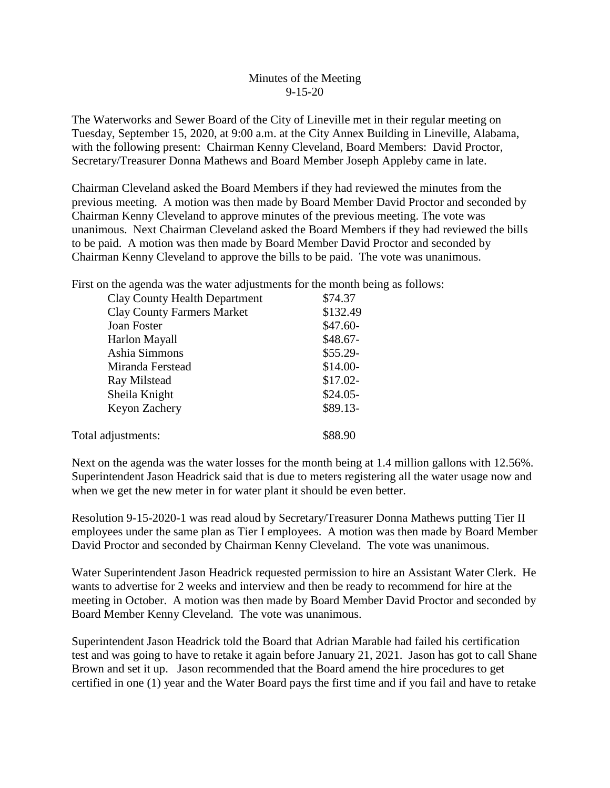## Minutes of the Meeting 9-15-20

The Waterworks and Sewer Board of the City of Lineville met in their regular meeting on Tuesday, September 15, 2020, at 9:00 a.m. at the City Annex Building in Lineville, Alabama, with the following present: Chairman Kenny Cleveland, Board Members: David Proctor, Secretary/Treasurer Donna Mathews and Board Member Joseph Appleby came in late.

Chairman Cleveland asked the Board Members if they had reviewed the minutes from the previous meeting. A motion was then made by Board Member David Proctor and seconded by Chairman Kenny Cleveland to approve minutes of the previous meeting. The vote was unanimous. Next Chairman Cleveland asked the Board Members if they had reviewed the bills to be paid. A motion was then made by Board Member David Proctor and seconded by Chairman Kenny Cleveland to approve the bills to be paid. The vote was unanimous.

First on the agenda was the water adjustments for the month being as follows:

| <b>Clay County Health Department</b> | \$74.37   |
|--------------------------------------|-----------|
| <b>Clay County Farmers Market</b>    | \$132.49  |
| Joan Foster                          | $$47.60-$ |
| Harlon Mayall                        | $$48.67-$ |
| Ashia Simmons                        | $$55.29-$ |
| Miranda Ferstead                     | $$14.00-$ |
| Ray Milstead                         | $$17.02-$ |
| Sheila Knight                        | $$24.05-$ |
| Keyon Zachery                        | $$89.13-$ |
| Total adjustments:                   | \$88.90   |
|                                      |           |

Next on the agenda was the water losses for the month being at 1.4 million gallons with 12.56%. Superintendent Jason Headrick said that is due to meters registering all the water usage now and when we get the new meter in for water plant it should be even better.

Resolution 9-15-2020-1 was read aloud by Secretary/Treasurer Donna Mathews putting Tier II employees under the same plan as Tier I employees. A motion was then made by Board Member David Proctor and seconded by Chairman Kenny Cleveland. The vote was unanimous.

Water Superintendent Jason Headrick requested permission to hire an Assistant Water Clerk. He wants to advertise for 2 weeks and interview and then be ready to recommend for hire at the meeting in October. A motion was then made by Board Member David Proctor and seconded by Board Member Kenny Cleveland. The vote was unanimous.

Superintendent Jason Headrick told the Board that Adrian Marable had failed his certification test and was going to have to retake it again before January 21, 2021. Jason has got to call Shane Brown and set it up. Jason recommended that the Board amend the hire procedures to get certified in one (1) year and the Water Board pays the first time and if you fail and have to retake